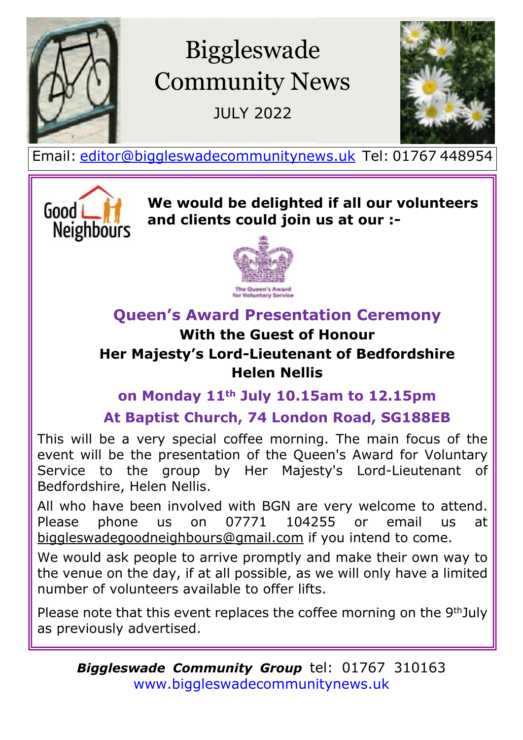

# Biggleswade Community News

JULY 2022



Email: [editor@biggleswadecommunitynews.uk](mailto:editor@biggleswadecommunitynews.uk) Tel: 01767 448954



**We would be delighted if all our volunteers and clients could join us at our :-**



# **Queen's Award Presentation Ceremony**

# **With the Guest of Honour**

#### **Her Majesty's Lord-Lieutenant of Bedfordshire Helen Nellis**

### **on Monday 11th July 10.15am to 12.15pm**

**At Baptist Church, 74 London Road, SG188EB**

This will be a very special coffee morning. The main focus of the event will be the presentation of the Queen's Award for Voluntary Service to the group by Her Majesty's Lord-Lieutenant of Bedfordshire, Helen Nellis.

All who have been involved with BGN are very welcome to attend. Please phone us on 07771 104255 or email us at biggleswadegoodneighbours@gmail.com if you intend to come.

We would ask people to arrive promptly and make their own way to the venue on the day, if at all possible, as we will only have a limited number of volunteers available to offer lifts.

Please note that this event replaces the coffee morning on the 9thJuly as previously advertised.

*Biggleswade Community Group* tel: 01767 [3](www.biggleswadecommunitynews.uk)10163 <www.biggleswadecommunitynews.uk>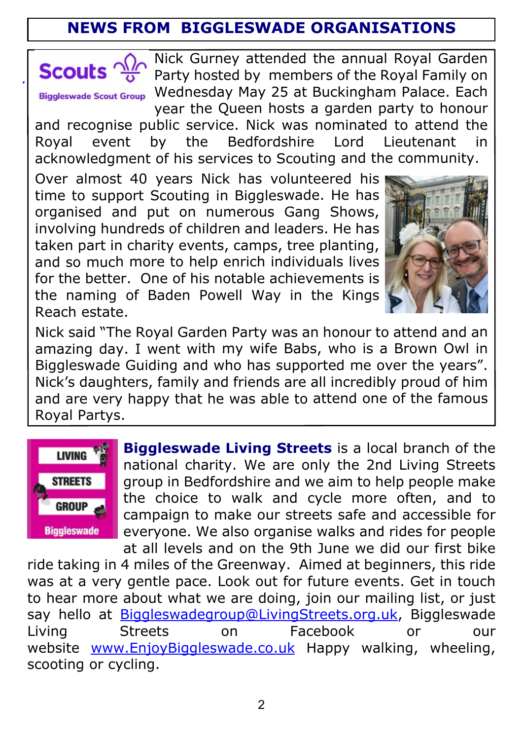# **NEWS FROM BIGGLESWADE ORGANISATIONS**



**Biggleswade Scout Group** 

Nick Gurney attended the annual Royal Garden Party hosted by members of the Royal Family on Wednesday May 25 at Buckingham Palace. Each year the Queen hosts a garden party to honour

and recognise public service. Nick was nominated to attend the Royal event by the Bedfordshire Lord Lieutenant in acknowledgment of his services to Scouting and the community.

Over almost 40 years Nick has volunteered his time to support Scouting in Biggleswade. He has organised and put on numerous Gang Shows, involving hundreds of children and leaders. He has taken part in charity events, camps, tree planting, and so much more to help enrich individuals lives for the better. One of his notable achievements is the naming of Baden Powell Way in the Kings Reach estate.



Nick said "The Royal Garden Party was an honour to attend and an amazing day. I went with my wife Babs, who is a Brown Owl in Biggleswade Guiding and who has supported me over the years". Nick's daughters, family and friends are all incredibly proud of him and are very happy that he was able to attend one of the famous Royal Partys.



**Biggleswade Living Streets** is a local branch of the national charity. We are only the 2nd Living Streets group in Bedfordshire and we aim to help people make the choice to walk and cycle more often, and to campaign to make our streets safe and accessible for everyone. We also organise walks and rides for people at all levels and on the 9th June we did our first bike

ride taking in 4 miles of the Greenway. Aimed at beginners, this ride was at a very gentle pace. Look out for future events. Get in touch to hear more about what we are doing, join our mailing list, or just say hello at <Biggleswadegroup@LivingStreets.org.uk>, Biggleswade Living Streets on Facebook or our website <www.EnjoyBiggleswade.co.uk> Happy walking, wheeling, scooting or cycling.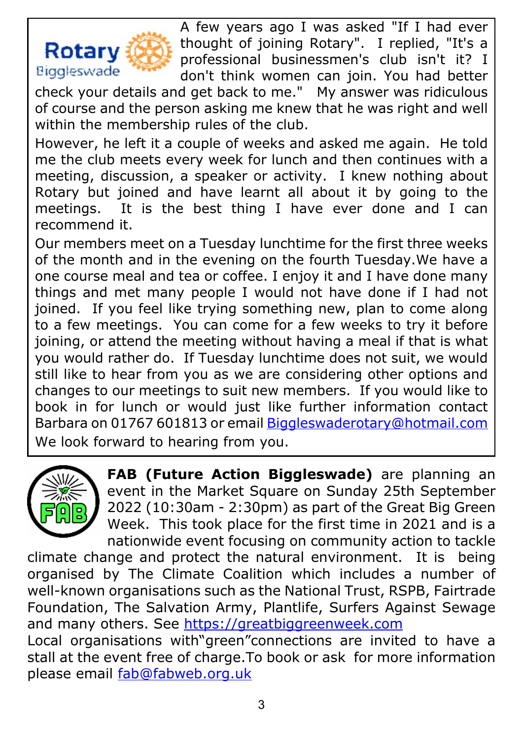

A few years ago I was asked "If I had ever thought of joining Rotary". I replied, "It's a professional businessmen's club isn't it? I don't think women can join. You had better

check your details and get back to me." My answer was ridiculous of course and the person asking me knew that he was right and well within the membership rules of the club.

However, he left it a couple of weeks and asked me again. He told me the club meets every week for lunch and then continues with a meeting, discussion, a speaker or activity. I knew nothing about Rotary but joined and have learnt all about it by going to the meetings. It is the best thing I have ever done and I can recommend it.

Our members meet on a Tuesday lunchtime for the first three weeks of the month and in the evening on the fourth Tuesday.We have a one course meal and tea or coffee. I enjoy it and I have done many things and met many people I would not have done if I had not joined. If you feel like trying something new, plan to come along to a few meetings. You can come for a few weeks to try it before joining, or attend the meeting without having a meal if that is what you would rather do. If Tuesday lunchtime does not suit, we would still like to hear from you as we are considering other options and changes to our meetings to suit new members. If you would like to book in for lunch or would just like further information contact Barbara on 01767 601813 or email [Biggleswaderotary@hotmail.com](mailto:Biggleswaderotary@hotmail.com) We look forward to hearing from you.



**FAB (Future Action Biggleswade)** are planning an event in the Market Square on Sunday 25th September 2022 (10:30am - 2:30pm) as part of the Great Big Green Week. This took place for the first time in 2021 and is a nationwide event focusing on community action to tackle

climate change and protect the natural environment. It is being organised by The Climate Coalition which includes a number of well-known organisations such as the National Trust, RSPB, Fairtrade Foundation, The Salvation Army, Plantlife, Surfers Against Sewage and many others. See<https://greatbiggreenweek.com> Local organisations with"green"connections are invited to have a

stall at the event free of charge.To book or ask for more information please email <fab@fabweb.org.uk>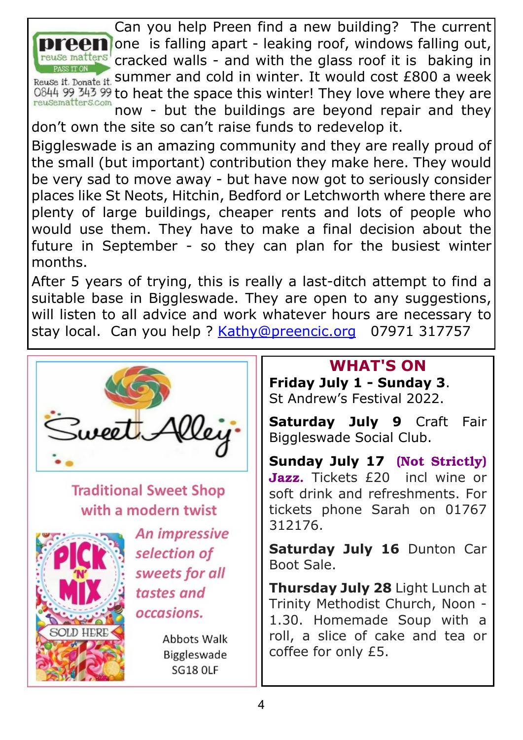

Can you help Preen find a new building? The current **n** one is falling apart - leaking roof, windows falling out, cracked walls - and with the glass roof it is baking in Reuse it. Donate it. Summer and cold in winter. It would cost £800 a week 0844 99 343 99 to heat the space this winter! They love where they are

now - but the buildings are beyond repair and they don't own the site so can't raise funds to redevelop it.

Biggleswade is an amazing community and they are really proud of the small (but important) contribution they make here. They would be very sad to move away - but have now got to seriously consider places like St Neots, Hitchin, Bedford or Letchworth where there are plenty of large buildings, cheaper rents and lots of people who would use them. They have to make a final decision about the future in September - so they can plan for the busiest winter months.

After 5 years of trying, this is really a last-ditch attempt to find a suitable base in Biggleswade. They are open to any suggestions, will listen to all advice and work whatever hours are necessary to stay local. Can you help ? [Kathy@preencic.org](mailto:Kathy@preencic.org) 07971 317757



**Traditional Sweet Shop** with a modern twist



An impressive selection of sweets for all tastes and occasions.

> **Abbots Walk** Biggleswade **SG18 OLF**

### **WHAT'S ON**

**Friday July 1 - Sunday 3**. St Andrew's Festival 2022.

**Saturday July 9** Craft Fair Biggleswade Social Club.

**Sunday July 17** (Not Strictly) Jazz. Tickets £20 incl wine or soft drink and refreshments. For tickets phone Sarah on 01767 312176.

**Saturday July 16** Dunton Car Boot Sale.

**Thursday July 28** Light Lunch at Trinity Methodist Church, Noon - 1.30. Homemade Soup with a roll, a slice of cake and tea or coffee for only £5.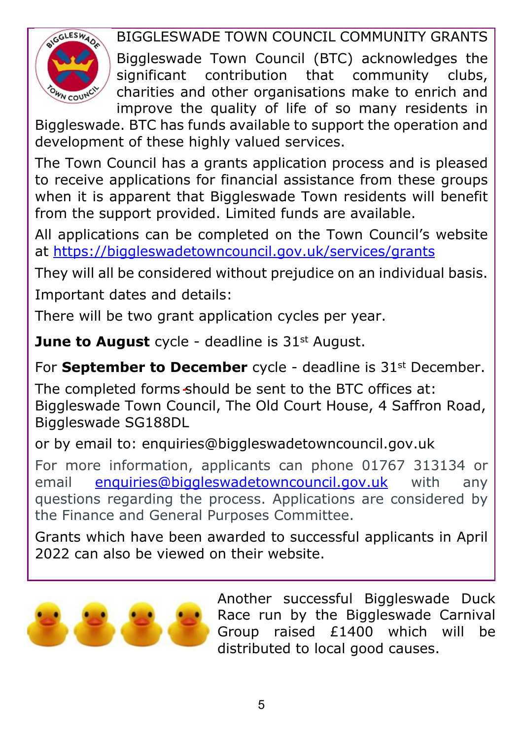

BIGGLESWADE TOWN COUNCIL COMMUNITY GRANTS

Biggleswade Town Council (BTC) acknowledges the significant contribution that community clubs, charities and other organisations make to enrich and improve the quality of life of so many residents in

Biggleswade. BTC has funds available to support the operation and development of these highly valued services.

The Town Council has a grants application process and is pleased to receive applications for financial assistance from these groups when it is apparent that Biggleswade Town residents will benefit from the support provided. Limited funds are available.

All applications can be completed on the Town Council's website at [https://biggleswadetowncouncil.gov.uk/services/grants]( https://biggleswadetowncouncil.gov.uk/services/grants)

They will all be considered without prejudice on an individual basis. Important dates and details:

There will be two grant application cycles per year.

**June to August** cycle - deadline is 31<sup>st</sup> August.

For **September to December** cycle - deadline is 31<sup>st</sup> December.

The completed forms should be sent to the BTC offices at: Biggleswade Town Council, The Old Court House, 4 Saffron Road, Biggleswade SG188DL

or by email to: enquiries@biggleswadetowncouncil.gov.uk

For more information, applicants can phone 01767 313134 or email [enquiries@biggleswadetowncouncil.gov.uk](mailto:enquiries@biggleswadetowncouncil.gov.uk) with any questions regarding the process. Applications are considered by the Finance and General Purposes Committee.

Grants which have been awarded to successful applicants in April 2022 can also be viewed on their website.



Another successful Biggleswade Duck Race run by the Biggleswade Carnival Group raised £1400 which will be distributed to local good causes.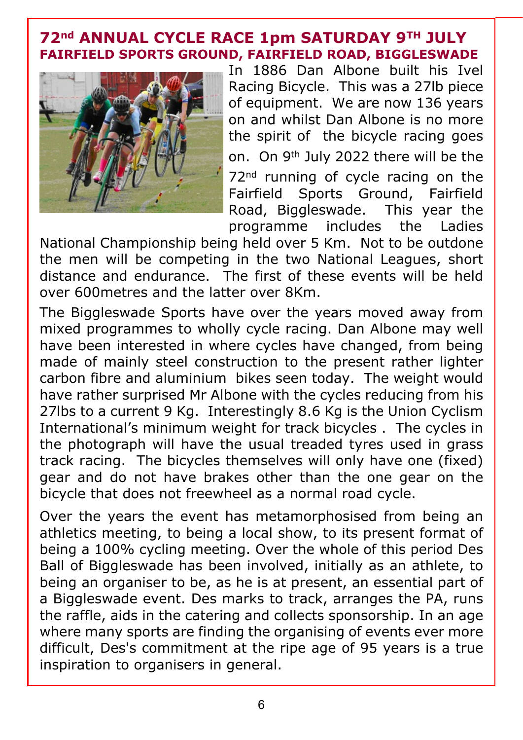#### **72nd ANNUAL CYCLE RACE 1pm SATURDAY 9TH JULY FAIRFIELD SPORTS GROUND, FAIRFIELD ROAD, BIGGLESWADE**



In 1886 Dan Albone built his Ivel Racing Bicycle. This was a 27lb piece of equipment. We are now 136 years on and whilst Dan Albone is no more the spirit of the bicycle racing goes on. On 9th July 2022 there will be the 72<sup>nd</sup> running of cycle racing on the Fairfield Sports Ground, Fairfield Road, Biggleswade. This year the programme includes the Ladies

National Championship being held over 5 Km. Not to be outdone the men will be competing in the two National Leagues, short distance and endurance. The first of these events will be held over 600metres and the latter over 8Km.

The Biggleswade Sports have over the years moved away from mixed programmes to wholly cycle racing. Dan Albone may well have been interested in where cycles have changed, from being made of mainly steel construction to the present rather lighter carbon fibre and aluminium bikes seen today. The weight would have rather surprised Mr Albone with the cycles reducing from his 27lbs to a current 9 Kg. Interestingly 8.6 Kg is the Union Cyclism International's minimum weight for track bicycles . The cycles in the photograph will have the usual treaded tyres used in grass track racing. The bicycles themselves will only have one (fixed) gear and do not have brakes other than the one gear on the bicycle that does not freewheel as a normal road cycle.

Over the years the event has metamorphosised from being an athletics meeting, to being a local show, to its present format of being a 100% cycling meeting. Over the whole of this period Des Ball of Biggleswade has been involved, initially as an athlete, to being an organiser to be, as he is at present, an essential part of a Biggleswade event. Des marks to track, arranges the PA, runs the raffle, aids in the catering and collects sponsorship. In an age where many sports are finding the organising of events ever more difficult, Des's commitment at the ripe age of 95 years is a true inspiration to organisers in general.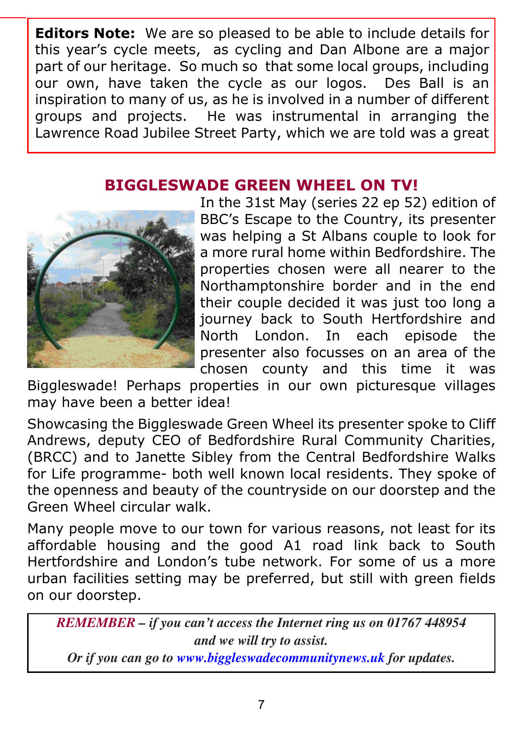**Editors Note:** We are so pleased to be able to include details for this year's cycle meets, as cycling and Dan Albone are a major part of our heritage. So much so that some local groups, including our own, have taken the cycle as our logos. Des Ball is an inspiration to many of us, as he is involved in a number of different groups and projects. He was instrumental in arranging the Lawrence Road Jubilee Street Party, which we are told was a great

#### **BIGGLESWADE GREEN WHEEL ON TV!**



In the 31st May (series 22 ep 52) edition of BBC's Escape to the Country, its presenter was helping a St Albans couple to look for a more rural home within Bedfordshire. The properties chosen were all nearer to the Northamptonshire border and in the end their couple decided it was just too long a journey back to South Hertfordshire and North London. In each episode the presenter also focusses on an area of the chosen county and this time it was

Biggleswade! Perhaps properties in our own picturesque villages may have been a better idea!

Showcasing the Biggleswade Green Wheel its presenter spoke to Cliff Andrews, deputy CEO of Bedfordshire Rural Community Charities, (BRCC) and to Janette Sibley from the Central Bedfordshire Walks for Life programme- both well known local residents. They spoke of the openness and beauty of the countryside on our doorstep and the Green Wheel circular walk.

Many people move to our town for various reasons, not least for its affordable housing and the good A1 road link back to South Hertfordshire and London's tube network. For some of us a more urban facilities setting may be preferred, but still with green fields on our doorstep.

*REMEMBER – if you can't access the Internet ring us on 01767 448954 and we will try to assist.*

*Or if you can go to [www.biggleswadecommunitynews.uk](https://www.biggleswadecommunitynews.uk) for updates.*